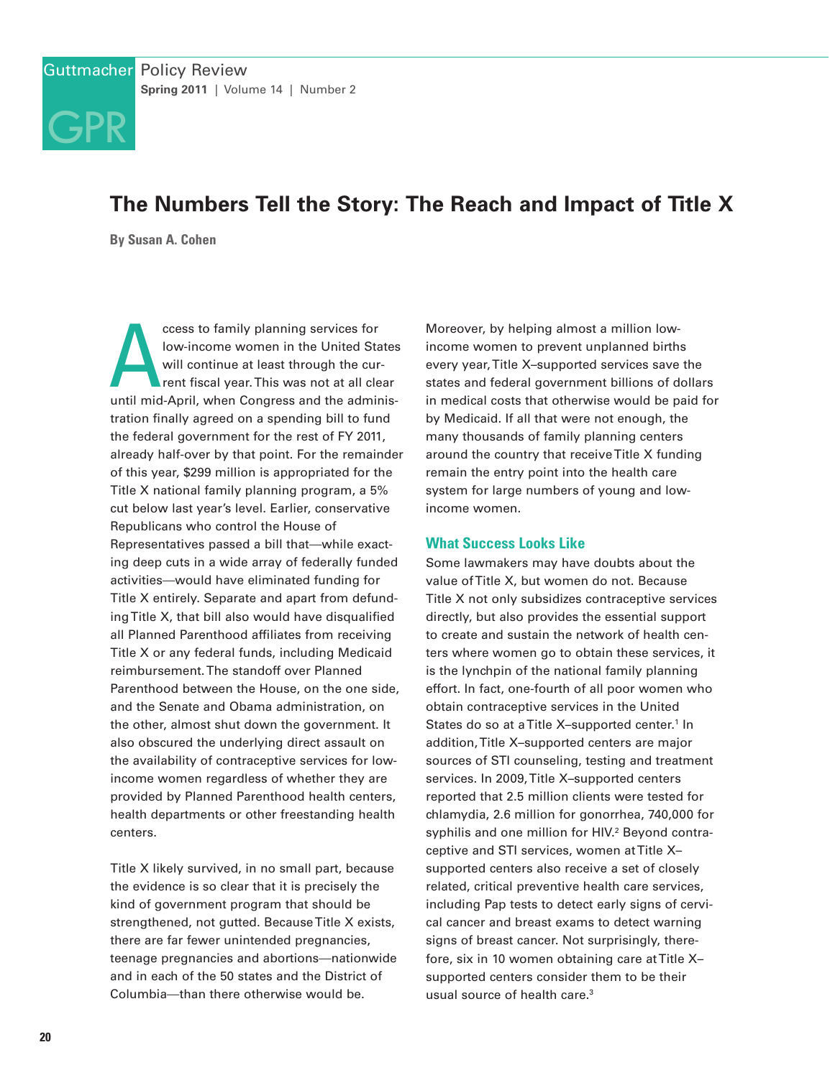# **The Numbers Tell the Story: The Reach and Impact of Title X**

**By Susan A. Cohen**

[GPR](http://www.guttmacher.org)

ccess to family planning services for<br>low-income women in the United States<br>will continue at least through the cur-<br>rent fiscal year. This was not at all clear<br>until mid-April, when Congress and the adminisccess to family planning services for low-income women in the United States will continue at least through the current fiscal year. This was not at all clear tration finally agreed on a spending bill to fund the federal government for the rest of FY 2011, already half-over by that point. For the remainder of this year, \$299 million is appropriated for the Title X national family planning program, a 5% cut below last year's level. Earlier, conservative Republicans who control the House of Representatives passed a bill that—while exacting deep cuts in a wide array of federally funded activities—would have eliminated funding for Title X entirely. Separate and apart from defunding Title X, that bill also would have disqualified all Planned Parenthood affiliates from receiving Title X or any federal funds, including Medicaid reimbursement. The standoff over Planned Parenthood between the House, on the one side, and the Senate and Obama administration, on the other, almost shut down the government. It also obscured the underlying direct assault on the availability of contraceptive services for lowincome women regardless of whether they are provided by Planned Parenthood health centers, health departments or other freestanding health centers.

Title X likely survived, in no small part, because the evidence is so clear that it is precisely the kind of government program that should be strengthened, not gutted. Because Title X exists, there are far fewer unintended pregnancies, teenage pregnancies and abortions—nationwide and in each of the 50 states and the District of Columbia—than there otherwise would be.

Moreover, by helping almost a million lowincome women to prevent unplanned births every year, Title X–supported services save the states and federal government billions of dollars in medical costs that otherwise would be paid for by Medicaid. If all that were not enough, the many thousands of family planning centers around the country that receive Title X funding remain the entry point into the health care system for large numbers of young and lowincome women.

#### **What Success Looks Like**

Some lawmakers may have doubts about the value of Title X, but women do not. Because Title X not only subsidizes contraceptive services directly, but also provides the essential support to create and sustain the network of health centers where women go to obtain these services, it is the lynchpin of the national family planning effort. In fact, one-fourth of all poor women who obtain contraceptive services in the United States do so at a Title X-supported center.<sup>1</sup> In addition, Title X–supported centers are major sources of STI counseling, testing and treatment services. In 2009, Title X–supported centers reported that 2.5 million clients were tested for chlamydia, 2.6 million for gonorrhea, 740,000 for syphilis and one million for HIV.<sup>2</sup> Beyond contraceptive and STI services, women at Title X– supported centers also receive a set of closely related, critical preventive health care services, including Pap tests to detect early signs of cervical cancer and breast exams to detect warning signs of breast cancer. Not surprisingly, therefore, six in 10 women obtaining care at Title X– supported centers consider them to be their usual source of health care.<sup>3</sup>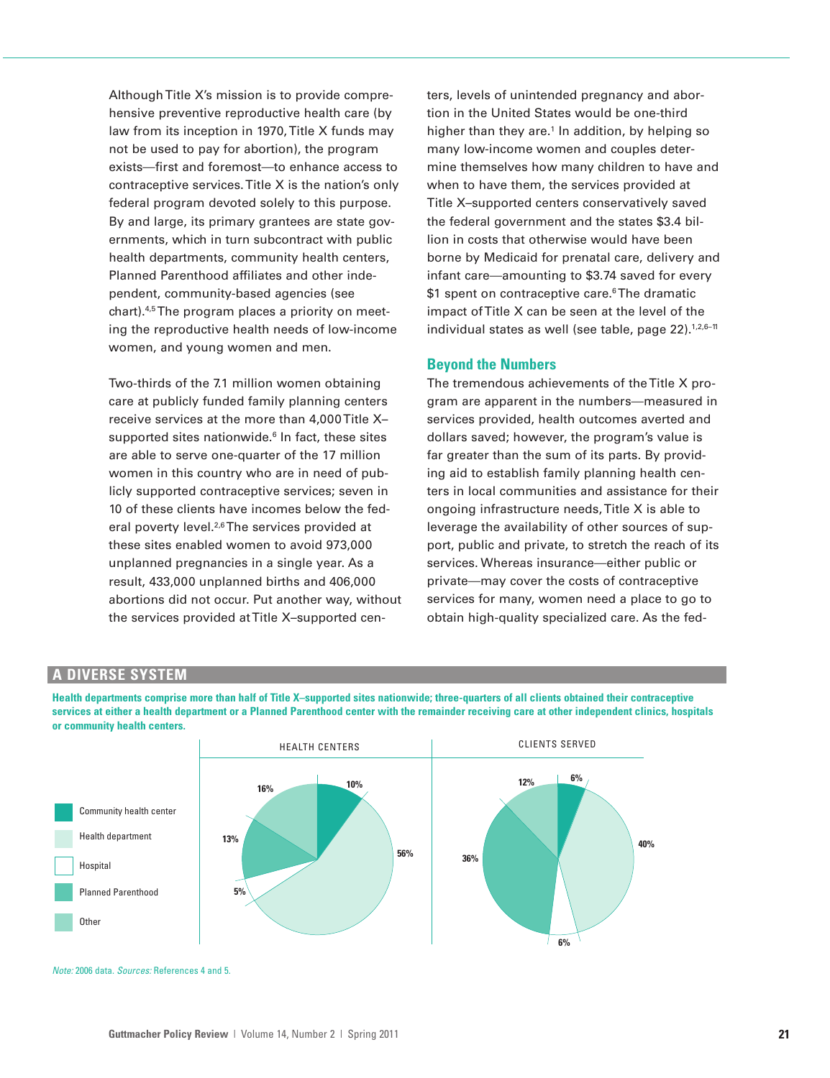Although Title X's mission is to provide comprehensive preventive reproductive health care (by law from its inception in 1970, Title X funds may not be used to pay for abortion), the program exists—first and foremost—to enhance access to contraceptive services. Title X is the nation's only federal program devoted solely to this purpose. By and large, its primary grantees are state governments, which in turn subcontract with public health departments, community health centers, Planned Parenthood affiliates and other independent, community-based agencies (see chart).4,5The program places a priority on meeting the reproductive health needs of low-income women, and young women and men.

Two-thirds of the 7.1 million women obtaining care at publicly funded family planning centers receive services at the more than 4,000 Title X– supported sites nationwide.<sup>6</sup> In fact, these sites are able to serve one-quarter of the 17 million women in this country who are in need of publicly supported contraceptive services; seven in 10 of these clients have incomes below the federal poverty level.<sup>2,6</sup>The services provided at these sites enabled women to avoid 973,000 unplanned pregnancies in a single year. As a result, 433,000 unplanned births and 406,000 abortions did not occur. Put another way, without the services provided at Title X–supported centers, levels of unintended pregnancy and abortion in the United States would be one-third higher than they are. $1$  In addition, by helping so many low-income women and couples determine themselves how many children to have and when to have them, the services provided at Title X–supported centers conservatively saved the federal government and the states \$3.4 billion in costs that otherwise would have been borne by Medicaid for prenatal care, delivery and infant care—amounting to \$3.74 saved for every \$1 spent on contraceptive care.<sup>6</sup>The dramatic impact of Title X can be seen at the level of the individual states as well (see table, page 22).<sup>1,2,6-11</sup>

#### **Beyond the Numbers**

The tremendous achievements of the Title X program are apparent in the numbers—measured in services provided, health outcomes averted and dollars saved; however, the program's value is far greater than the sum of its parts. By providing aid to establish family planning health centers in local communities and assistance for their ongoing infrastructure needs, Title X is able to leverage the availability of other sources of support, public and private, to stretch the reach of its services. Whereas insurance—either public or private—may cover the costs of contraceptive services for many, women need a place to go to obtain high-quality specialized care. As the fed-

## **A DIVERSE SYSTEM**

**Health departments comprise more than half of Title X–supported sites nationwide; three-quarters of all clients obtained their contraceptive services at either a health department or a Planned Parenthood center with the remainder receiving care at other independent clinics, hospitals or community health centers.**



Note: 2006 data. Sources: References 4 and 5.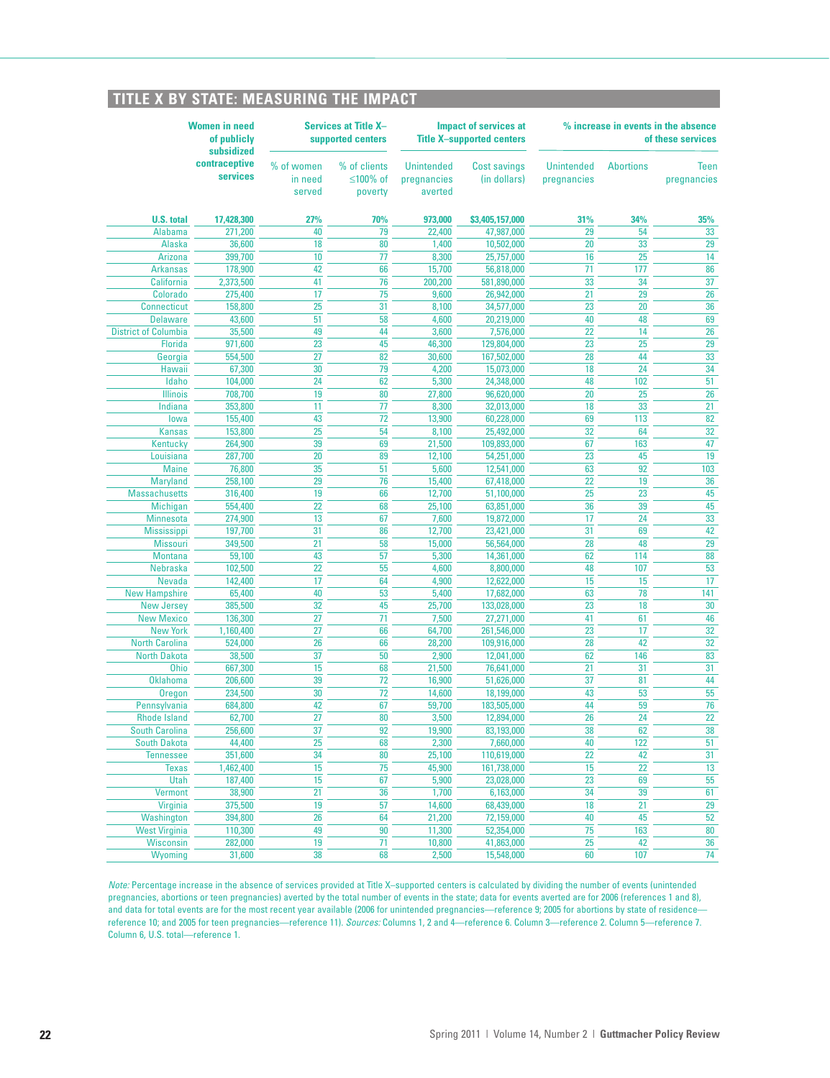## **TITLE X BY STATE: MEASURING THE IMPACT**

| <b>Women in need</b><br>of publicly<br>subsidized |                           | <b>Services at Title X-</b><br>supported centers |                                     | <b>Impact of services at</b><br><b>Title X-supported centers</b> |                                     | % increase in events in the absence<br>of these services |                  |                            |
|---------------------------------------------------|---------------------------|--------------------------------------------------|-------------------------------------|------------------------------------------------------------------|-------------------------------------|----------------------------------------------------------|------------------|----------------------------|
|                                                   | contraceptive<br>services | % of women<br>in need<br>served                  | % of clients<br>≤100% of<br>poverty | <b>Unintended</b><br>pregnancies<br>averted                      | <b>Cost savings</b><br>(in dollars) | <b>Unintended</b><br>pregnancies                         | <b>Abortions</b> | <b>Teen</b><br>pregnancies |
| <b>U.S. total</b>                                 | 17,428,300                | 27%                                              | 70%                                 | 973,000                                                          | \$3,405,157,000                     | 31%                                                      | 34%              | 35%                        |
| <b>Alabama</b>                                    | 271,200                   | 40                                               | 79                                  | 22,400                                                           | 47,987,000                          | 29                                                       | 54               | 33                         |
| <b>Alaska</b>                                     | 36,600                    | 18                                               | 80                                  | 1,400                                                            | 10,502,000                          | 20                                                       | 33               | 29                         |
| <b>Arizona</b>                                    | 399,700                   | 10                                               | 77                                  | 8,300                                                            | 25,757,000                          | 16                                                       | 25               | 14                         |
| <b>Arkansas</b>                                   | 178,900                   | 42                                               | 66                                  | 15,700                                                           | 56,818,000                          | 71                                                       | 177              | 86                         |
| <b>California</b><br><b>Colorado</b>              | 2,373,500                 | 41<br>17                                         | 76<br>75                            | 200,200                                                          | 581,890,000<br>26,942,000           | 33<br>21                                                 | 34<br>29         | 37<br>26                   |
| <b>Connecticut</b>                                | 275,400<br>158,800        | 25                                               | 31                                  | 9,600<br>8,100                                                   | 34,577,000                          | 23                                                       | 20               | 36                         |
| <b>Delaware</b>                                   | 43,600                    | 51                                               | 58                                  | 4,600                                                            | 20,219,000                          | 40                                                       | 48               | 69                         |
| <b>District of Columbia</b>                       | 35,500                    | 49                                               | 44                                  | 3,600                                                            | 7,576,000                           | 22                                                       | 14               | 26                         |
| <b>Florida</b>                                    | 971,600                   | 23                                               | 45                                  | 46,300                                                           | 129,804,000                         | 23                                                       | 25               | 29                         |
| Georgia                                           | 554,500                   | 27                                               | 82                                  | 30,600                                                           | 167,502,000                         | 28                                                       | 44               | 33                         |
| Hawaii                                            | 67,300                    | 30                                               | 79                                  | 4,200                                                            | 15,073,000                          | 18                                                       | 24               | 34                         |
| Idaho                                             | 104,000                   | 24                                               | 62                                  | 5,300                                                            | 24,348,000                          | 48                                                       | 102              | 51                         |
| <b>Illinois</b>                                   | 708,700                   | 19                                               | 80                                  | 27,800                                                           | 96,620,000                          | 20                                                       | 25               | 26                         |
| Indiana                                           | 353,800                   | 11                                               | 77                                  | 8,300                                                            | 32,013,000                          | 18                                                       | 33               | 21                         |
| lowa                                              | 155,400                   | 43                                               | 72                                  | 13,900                                                           | 60,228,000                          | 69                                                       | 113              | 82                         |
| <b>Kansas</b>                                     | 153,800                   | 25                                               | 54                                  | 8,100                                                            | 25,492,000                          | 32                                                       | 64               | 32                         |
| <b>Kentucky</b>                                   | 264,900                   | 39                                               | 69                                  | 21,500                                                           | 109,893,000                         | 67                                                       | 163              | 47                         |
| Louisiana                                         | 287,700                   | 20                                               | 89                                  | 12,100                                                           | 54,251,000                          | 23                                                       | 45               | 19                         |
| <b>Maine</b>                                      | 76,800                    | 35                                               | 51                                  | 5,600                                                            | 12,541,000                          | 63                                                       | 92               | 103                        |
| <b>Maryland</b>                                   | 258,100                   | 29                                               | 76                                  | 15,400                                                           | 67,418,000                          | 22                                                       | 19               | 36                         |
| <b>Massachusetts</b>                              | 316,400                   | 19                                               | 66                                  | 12,700                                                           | 51,100,000                          | 25                                                       | 23               | 45                         |
| Michigan                                          | 554,400                   | 22                                               | 68                                  | 25,100                                                           | 63,851,000                          | 36                                                       | 39               | 45                         |
| <b>Minnesota</b>                                  | 274,900                   | 13                                               | 67                                  | 7,600                                                            | 19,872,000                          | 17                                                       | 24               | 33                         |
| <b>Mississippi</b>                                | 197,700                   | 31<br>21                                         | 86<br>58                            | 12,700                                                           | 23,421,000                          | 31<br>28                                                 | 69<br>48         | 42<br>29                   |
| <b>Missouri</b><br><b>Montana</b>                 | 349,500<br>59,100         | 43                                               | 57                                  | 15,000<br>5,300                                                  | 56,564,000<br>14,361,000            | 62                                                       | 114              | 88                         |
| <b>Nebraska</b>                                   | 102,500                   | 22                                               | 55                                  | 4,600                                                            | 8,800,000                           | 48                                                       | 107              | 53                         |
| <b>Nevada</b>                                     | 142,400                   | 17                                               | 64                                  | 4,900                                                            | 12,622,000                          | 15                                                       | 15               | 17                         |
| <b>New Hampshire</b>                              | 65,400                    | 40                                               | 53                                  | 5,400                                                            | 17,682,000                          | 63                                                       | 78               | 141                        |
| <b>New Jersey</b>                                 | 385,500                   | 32                                               | 45                                  | 25,700                                                           | 133,028,000                         | 23                                                       | 18               | 30                         |
| <b>New Mexico</b>                                 | 136,300                   | 27                                               | 71                                  | 7,500                                                            | 27,271,000                          | 41                                                       | 61               | 46                         |
| <b>New York</b>                                   | 1,160,400                 | 27                                               | 66                                  | 64,700                                                           | 261,546,000                         | 23                                                       | 17               | 32                         |
| <b>North Carolina</b>                             | 524,000                   | 26                                               | 66                                  | 28,200                                                           | 109,916,000                         | 28                                                       | 42               | 32                         |
| <b>North Dakota</b>                               | 38,500                    | 37                                               | 50                                  | 2,900                                                            | 12,041,000                          | 62                                                       | 146              | 83                         |
| <b>Ohio</b>                                       | 667,300                   | 15                                               | 68                                  | 21,500                                                           | 76,641,000                          | 21                                                       | 31               | 31                         |
| <b>Oklahoma</b>                                   | 206,600                   | 39                                               | 72                                  | 16,900                                                           | 51,626,000                          | 37                                                       | 81               | 44                         |
| Oregon                                            | 234,500                   | 30                                               | 72                                  | 14,600                                                           | 18,199,000                          | 43                                                       | 53               | 55                         |
| Pennsylvania                                      | 684,800                   | 42                                               | 67                                  | 59,700                                                           | 183,505,000                         | 44                                                       | 59               | 76                         |
| <b>Rhode Island</b>                               | 62,700                    | 27                                               | 80                                  | 3,500                                                            | 12,894,000                          | 26                                                       | 24               | 22                         |
| <b>South Carolina</b>                             | 256,600                   | 37                                               | 92                                  | 19,900                                                           | 83,193,000                          | 38                                                       | 62               | 38                         |
| <b>South Dakota</b>                               | 44,400                    | 25                                               | 68                                  | 2,300                                                            | 7,660,000                           | 40                                                       | 122              | 51                         |
| <b>Tennessee</b>                                  | 351,600                   | 34                                               | 80                                  | 25,100                                                           | 110,619,000                         | 22                                                       | 42               | 31                         |
| <b>Texas</b>                                      | 1,462,400                 | 15                                               | $\overline{75}$                     | 45,900                                                           | 161,738,000                         | 15                                                       | $\overline{22}$  | 13                         |
| Utah                                              | 187,400                   | 15<br>$\overline{21}$                            | 67<br>36                            | 5,900                                                            | 23,028,000                          | 23                                                       | 69               | 55                         |
| <b>Vermont</b><br><b>Virginia</b>                 | 38,900                    | 19                                               | 57                                  | 1,700<br>14,600                                                  | 6,163,000<br>68,439,000             | 34<br>18                                                 | 39<br>21         | 61<br>29                   |
| Washington                                        | 375,500<br>394,800        | $\overline{26}$                                  | 64                                  | 21,200                                                           | 72,159,000                          | 40                                                       | 45               | 52                         |
| <b>West Virginia</b>                              | 110,300                   | 49                                               | 90                                  | 11,300                                                           | 52,354,000                          | 75                                                       | 163              | 80                         |
| <b>Wisconsin</b>                                  | 282,000                   | 19                                               | 71                                  | 10,800                                                           | 41,863,000                          | 25                                                       | 42               | 36                         |
| Wyoming                                           | 31,600                    | 38                                               | 68                                  | 2,500                                                            | 15,548,000                          | 60                                                       | 107              | 74                         |
|                                                   |                           |                                                  |                                     |                                                                  |                                     |                                                          |                  |                            |

Note: Percentage increase in the absence of services provided at Title X–supported centers is calculated by dividing the number of events (unintended pregnancies, abortions or teen pregnancies) averted by the total number of events in the state; data for events averted are for 2006 (references 1 and 8), and data for total events are for the most recent year available (2006 for unintended pregnancies—reference 9; 2005 for abortions by state of residence reference 10; and 2005 for teen pregnancies—reference 11). Sources: Columns 1, 2 and 4—reference 6. Column 3—reference 2. Column 5—reference 7. Column 6, U.S. total—reference 1.